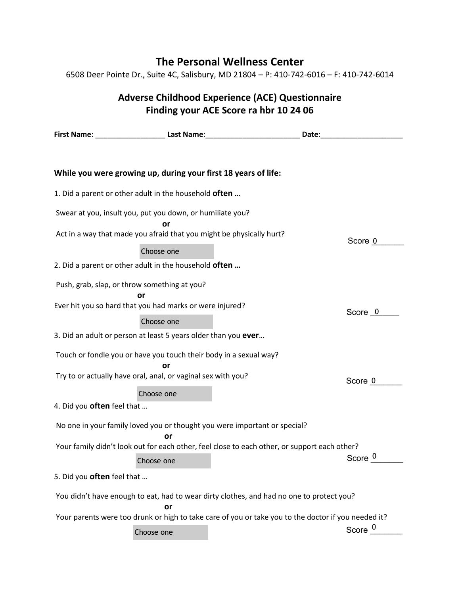## **The Personal Wellness Center**

6508 Deer Pointe Dr., Suite 4C, Salisbury, MD 21804 – P: 410-742-6016 – F: 410-742-6014

## **Adverse Childhood Experience (ACE) Questionnaire Finding your ACE Score ra hbr 10 24 06**

|                                                                                                                                   |            | First Name: _____________________________ Last Name: ___________________________<br>Date: |                    |  |  |
|-----------------------------------------------------------------------------------------------------------------------------------|------------|-------------------------------------------------------------------------------------------|--------------------|--|--|
|                                                                                                                                   |            |                                                                                           |                    |  |  |
| While you were growing up, during your first 18 years of life:                                                                    |            |                                                                                           |                    |  |  |
| 1. Did a parent or other adult in the household <b>often</b>                                                                      |            |                                                                                           |                    |  |  |
| Swear at you, insult you, put you down, or humiliate you?<br>Act in a way that made you afraid that you might be physically hurt? | or         |                                                                                           |                    |  |  |
|                                                                                                                                   | Choose one |                                                                                           | Score 0            |  |  |
| 2. Did a parent or other adult in the household often                                                                             |            |                                                                                           |                    |  |  |
| Push, grab, slap, or throw something at you?                                                                                      | or         |                                                                                           |                    |  |  |
| Ever hit you so hard that you had marks or were injured?                                                                          |            |                                                                                           | Score 0            |  |  |
|                                                                                                                                   | Choose one |                                                                                           |                    |  |  |
| 3. Did an adult or person at least 5 years older than you ever                                                                    |            |                                                                                           |                    |  |  |
| Touch or fondle you or have you touch their body in a sexual way?                                                                 |            |                                                                                           |                    |  |  |
| Try to or actually have oral, anal, or vaginal sex with you?                                                                      |            |                                                                                           | Score 0            |  |  |
|                                                                                                                                   | Choose one |                                                                                           |                    |  |  |
| 4. Did you <b>often</b> feel that                                                                                                 |            |                                                                                           |                    |  |  |
| No one in your family loved you or thought you were important or special?<br>or                                                   |            |                                                                                           |                    |  |  |
| Your family didn't look out for each other, feel close to each other, or support each other?                                      |            |                                                                                           |                    |  |  |
|                                                                                                                                   | Choose one |                                                                                           | Score <sup>0</sup> |  |  |
| 5. Did you <b>often</b> feel that                                                                                                 |            |                                                                                           |                    |  |  |
| You didn't have enough to eat, had to wear dirty clothes, and had no one to protect you?<br>or                                    |            |                                                                                           |                    |  |  |
| Your parents were too drunk or high to take care of you or take you to the doctor if you needed it?                               |            |                                                                                           |                    |  |  |
|                                                                                                                                   | Choose one |                                                                                           | Score <sup>0</sup> |  |  |